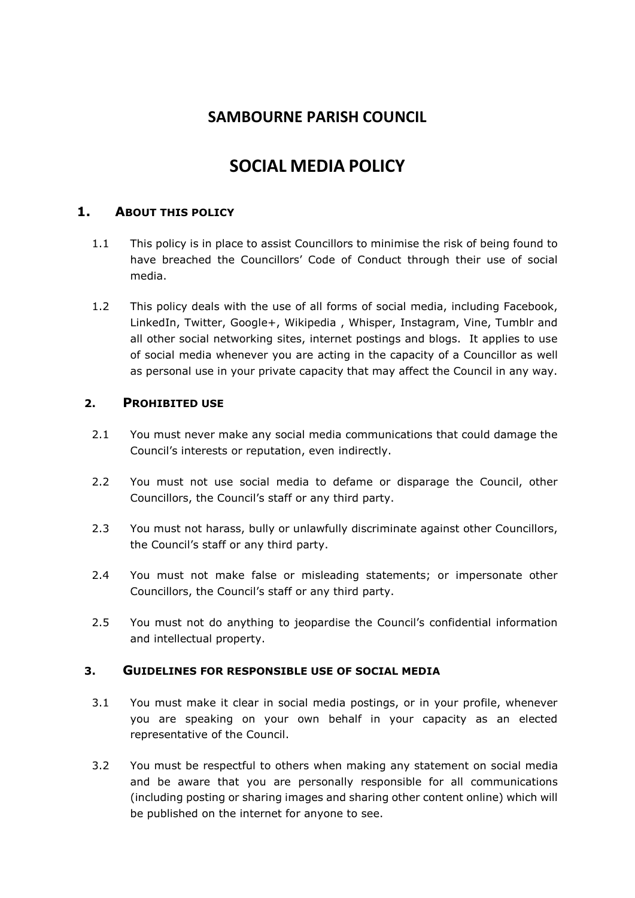# **SAMBOURNE PARISH COUNCIL**

# **SOCIAL MEDIA POLICY**

## **1. ABOUT THIS POLICY**

- 1.1 This policy is in place to assist Councillors to minimise the risk of being found to have breached the Councillors' Code of Conduct through their use of social media.
- 1.2 This policy deals with the use of all forms of social media, including Facebook, LinkedIn, Twitter, Google+, Wikipedia , Whisper, Instagram, Vine, Tumblr and all other social networking sites, internet postings and blogs. It applies to use of social media whenever you are acting in the capacity of a Councillor as well as personal use in your private capacity that may affect the Council in any way.

#### **2. PROHIBITED USE**

- 2.1 You must never make any social media communications that could damage the Council's interests or reputation, even indirectly.
- 2.2 You must not use social media to defame or disparage the Council, other Councillors, the Council's staff or any third party.
- 2.3 You must not harass, bully or unlawfully discriminate against other Councillors, the Council's staff or any third party.
- 2.4 You must not make false or misleading statements; or impersonate other Councillors, the Council's staff or any third party.
- 2.5 You must not do anything to jeopardise the Council's confidential information and intellectual property.

#### **3. GUIDELINES FOR RESPONSIBLE USE OF SOCIAL MEDIA**

- 3.1 You must make it clear in social media postings, or in your profile, whenever you are speaking on your own behalf in your capacity as an elected representative of the Council.
- 3.2 You must be respectful to others when making any statement on social media and be aware that you are personally responsible for all communications (including posting or sharing images and sharing other content online) which will be published on the internet for anyone to see.